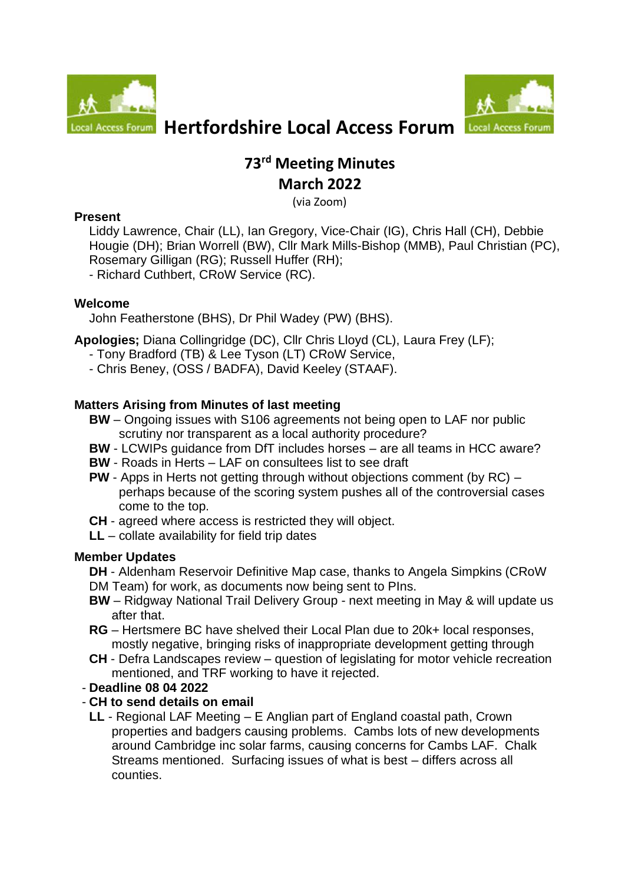



# **Local Access Forum** Hertfordshire Local Access Forum Local Acces

# **73 rd Meeting Minutes March 2022**

(via Zoom)

## **Present**

Liddy Lawrence, Chair (LL), Ian Gregory, Vice-Chair (IG), Chris Hall (CH), Debbie Hougie (DH); Brian Worrell (BW), Cllr Mark Mills-Bishop (MMB), Paul Christian (PC), Rosemary Gilligan (RG); Russell Huffer (RH);

- Richard Cuthbert, CRoW Service (RC).

## **Welcome**

John Featherstone (BHS), Dr Phil Wadey (PW) (BHS).

**Apologies;** Diana Collingridge (DC), Cllr Chris Lloyd (CL), Laura Frey (LF);

- Tony Bradford (TB) & Lee Tyson (LT) CRoW Service,
- Chris Beney, (OSS / BADFA), David Keeley (STAAF).

# **Matters Arising from Minutes of last meeting**

- **BW** Ongoing issues with S106 agreements not being open to LAF nor public scrutiny nor transparent as a local authority procedure?
- **BW** LCWIPs guidance from DfT includes horses are all teams in HCC aware?
- **BW** Roads in Herts LAF on consultees list to see draft
- **PW** Apps in Herts not getting through without objections comment (by RC) perhaps because of the scoring system pushes all of the controversial cases come to the top.
- **CH** agreed where access is restricted they will object.
- **LL** collate availability for field trip dates

# **Member Updates**

**DH** - Aldenham Reservoir Definitive Map case, thanks to Angela Simpkins (CRoW DM Team) for work, as documents now being sent to PIns.

- **BW** Ridgway National Trail Delivery Group next meeting in May & will update us after that.
- **RG** Hertsmere BC have shelved their Local Plan due to 20k+ local responses, mostly negative, bringing risks of inappropriate development getting through
- **CH**  Defra Landscapes review question of legislating for motor vehicle recreation mentioned, and TRF working to have it rejected.

# - **Deadline 08 04 2022**

# - **CH to send details on email**

**LL** - Regional LAF Meeting – E Anglian part of England coastal path, Crown properties and badgers causing problems. Cambs lots of new developments around Cambridge inc solar farms, causing concerns for Cambs LAF. Chalk Streams mentioned. Surfacing issues of what is best – differs across all counties.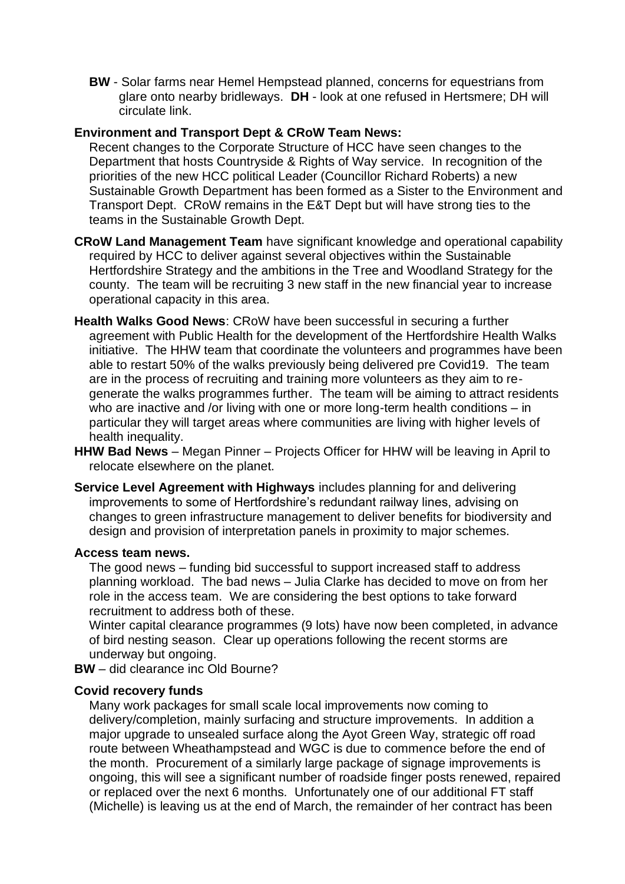**BW** - Solar farms near Hemel Hempstead planned, concerns for equestrians from glare onto nearby bridleways. **DH** - look at one refused in Hertsmere; DH will circulate link.

#### **Environment and Transport Dept & CRoW Team News:**

Recent changes to the Corporate Structure of HCC have seen changes to the Department that hosts Countryside & Rights of Way service. In recognition of the priorities of the new HCC political Leader (Councillor Richard Roberts) a new Sustainable Growth Department has been formed as a Sister to the Environment and Transport Dept. CRoW remains in the E&T Dept but will have strong ties to the teams in the Sustainable Growth Dept.

- **CRoW Land Management Team** have significant knowledge and operational capability required by HCC to deliver against several objectives within the Sustainable Hertfordshire Strategy and the ambitions in the Tree and Woodland Strategy for the county. The team will be recruiting 3 new staff in the new financial year to increase operational capacity in this area.
- **Health Walks Good News**: CRoW have been successful in securing a further agreement with Public Health for the development of the Hertfordshire Health Walks initiative. The HHW team that coordinate the volunteers and programmes have been able to restart 50% of the walks previously being delivered pre Covid19. The team are in the process of recruiting and training more volunteers as they aim to regenerate the walks programmes further. The team will be aiming to attract residents who are inactive and /or living with one or more long-term health conditions – in particular they will target areas where communities are living with higher levels of health inequality.
- **HHW Bad News** Megan Pinner Projects Officer for HHW will be leaving in April to relocate elsewhere on the planet.
- **Service Level Agreement with Highways** includes planning for and delivering improvements to some of Hertfordshire's redundant railway lines, advising on changes to green infrastructure management to deliver benefits for biodiversity and design and provision of interpretation panels in proximity to major schemes.

#### **Access team news.**

The good news – funding bid successful to support increased staff to address planning workload. The bad news – Julia Clarke has decided to move on from her role in the access team. We are considering the best options to take forward recruitment to address both of these.

Winter capital clearance programmes (9 lots) have now been completed, in advance of bird nesting season. Clear up operations following the recent storms are underway but ongoing.

**BW** – did clearance inc Old Bourne?

#### **Covid recovery funds**

Many work packages for small scale local improvements now coming to delivery/completion, mainly surfacing and structure improvements. In addition a major upgrade to unsealed surface along the Ayot Green Way, strategic off road route between Wheathampstead and WGC is due to commence before the end of the month. Procurement of a similarly large package of signage improvements is ongoing, this will see a significant number of roadside finger posts renewed, repaired or replaced over the next 6 months. Unfortunately one of our additional FT staff (Michelle) is leaving us at the end of March, the remainder of her contract has been